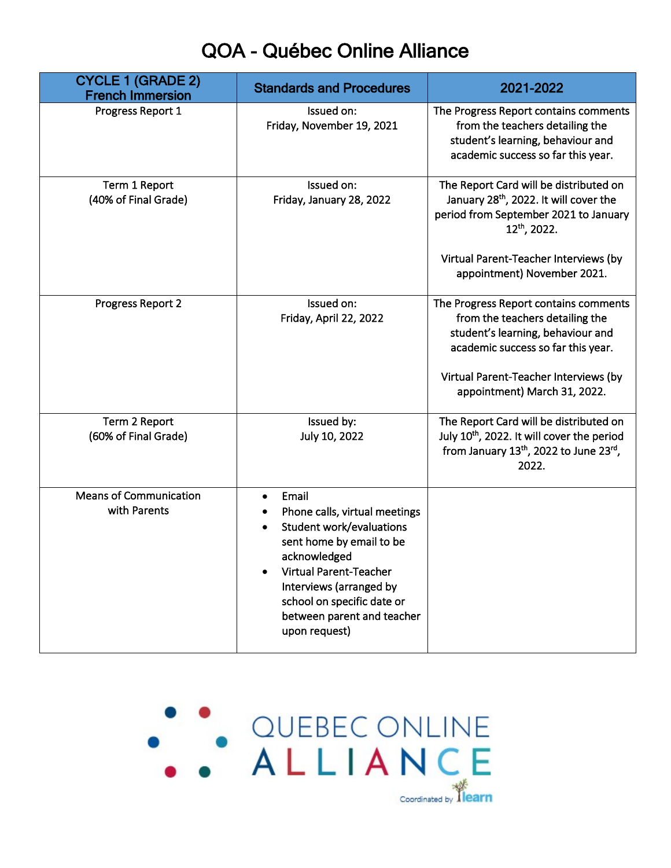## QOA - Québec Online Alliance

| <b>CYCLE 1 (GRADE 2)</b><br><b>French Immersion</b> | <b>Standards and Procedures</b>                                                                                                                                                                                                                         | 2021-2022                                                                                                                                                                                                                                 |
|-----------------------------------------------------|---------------------------------------------------------------------------------------------------------------------------------------------------------------------------------------------------------------------------------------------------------|-------------------------------------------------------------------------------------------------------------------------------------------------------------------------------------------------------------------------------------------|
| Progress Report 1                                   | Issued on:<br>Friday, November 19, 2021                                                                                                                                                                                                                 | The Progress Report contains comments<br>from the teachers detailing the<br>student's learning, behaviour and<br>academic success so far this year.                                                                                       |
| Term 1 Report<br>(40% of Final Grade)               | Issued on:<br>Friday, January 28, 2022                                                                                                                                                                                                                  | The Report Card will be distributed on<br>January 28 <sup>th</sup> , 2022. It will cover the<br>period from September 2021 to January<br>12 <sup>th</sup> , 2022.<br>Virtual Parent-Teacher Interviews (by<br>appointment) November 2021. |
| Progress Report 2                                   | Issued on:<br>Friday, April 22, 2022                                                                                                                                                                                                                    | The Progress Report contains comments<br>from the teachers detailing the<br>student's learning, behaviour and<br>academic success so far this year.<br>Virtual Parent-Teacher Interviews (by<br>appointment) March 31, 2022.              |
| Term 2 Report<br>(60% of Final Grade)               | Issued by:<br>July 10, 2022                                                                                                                                                                                                                             | The Report Card will be distributed on<br>July 10th, 2022. It will cover the period<br>from January 13th, 2022 to June 23rd,<br>2022.                                                                                                     |
| <b>Means of Communication</b><br>with Parents       | Email<br>Phone calls, virtual meetings<br><b>Student work/evaluations</b><br>sent home by email to be<br>acknowledged<br>Virtual Parent-Teacher<br>Interviews (arranged by<br>school on specific date or<br>between parent and teacher<br>upon request) |                                                                                                                                                                                                                                           |